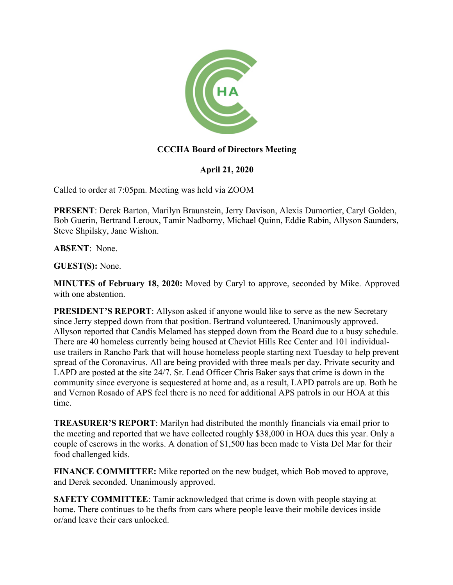

## **CCCHA Board of Directors Meeting**

## **April 21, 2020**

Called to order at 7:05pm. Meeting was held via ZOOM

**PRESENT**: Derek Barton, Marilyn Braunstein, Jerry Davison, Alexis Dumortier, Caryl Golden, Bob Guerin, Bertrand Leroux, Tamir Nadborny, Michael Quinn, Eddie Rabin, Allyson Saunders, Steve Shpilsky, Jane Wishon.

**ABSENT**: None.

**GUEST(S):** None.

**MINUTES of February 18, 2020:** Moved by Caryl to approve, seconded by Mike. Approved with one abstention.

**PRESIDENT'S REPORT:** Allyson asked if anyone would like to serve as the new Secretary since Jerry stepped down from that position. Bertrand volunteered. Unanimously approved. Allyson reported that Candis Melamed has stepped down from the Board due to a busy schedule. There are 40 homeless currently being housed at Cheviot Hills Rec Center and 101 individualuse trailers in Rancho Park that will house homeless people starting next Tuesday to help prevent spread of the Coronavirus. All are being provided with three meals per day. Private security and LAPD are posted at the site 24/7. Sr. Lead Officer Chris Baker says that crime is down in the community since everyone is sequestered at home and, as a result, LAPD patrols are up. Both he and Vernon Rosado of APS feel there is no need for additional APS patrols in our HOA at this time.

**TREASURER'S REPORT**: Marilyn had distributed the monthly financials via email prior to the meeting and reported that we have collected roughly \$38,000 in HOA dues this year. Only a couple of escrows in the works. A donation of \$1,500 has been made to Vista Del Mar for their food challenged kids.

**FINANCE COMMITTEE:** Mike reported on the new budget, which Bob moved to approve, and Derek seconded. Unanimously approved.

**SAFETY COMMITTEE:** Tamir acknowledged that crime is down with people staying at home. There continues to be thefts from cars where people leave their mobile devices inside or/and leave their cars unlocked.